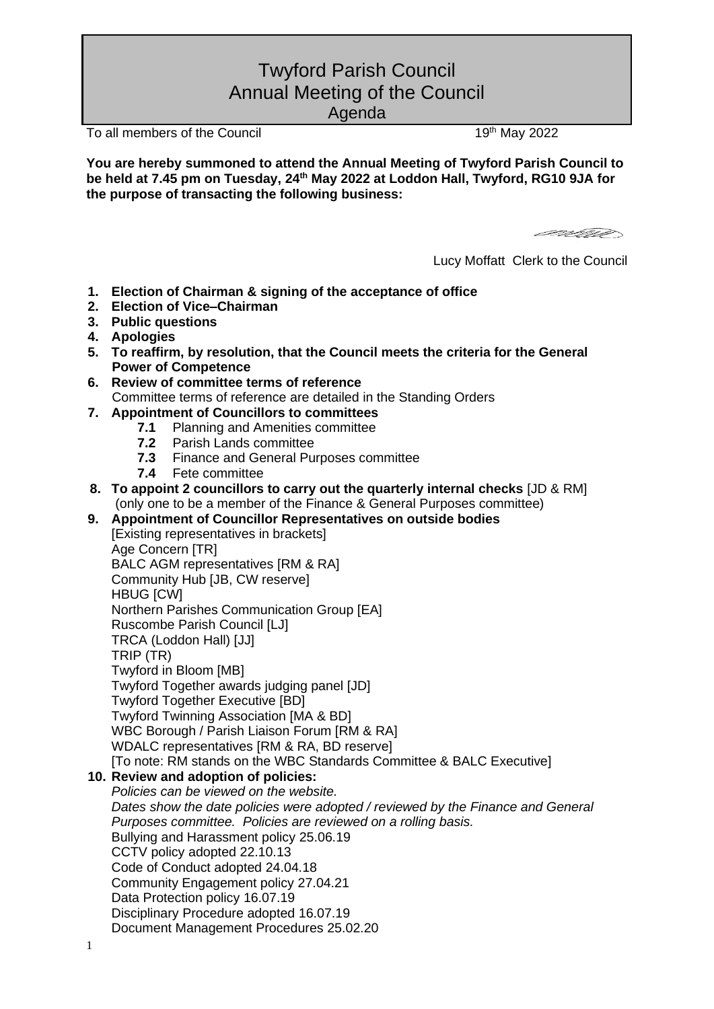# Twyford Parish Council Annual Meeting of the Council

Agenda

To all members of the Council 19th May 2022

**You are hereby summoned to attend the Annual Meeting of Twyford Parish Council to be held at 7.45 pm on Tuesday, 24 th May 2022 at Loddon Hall, Twyford, RG10 9JA for the purpose of transacting the following business:**

earm

Lucy Moffatt Clerk to the Council

- **1. Election of Chairman & signing of the acceptance of office**
- **2. Election of Vice–Chairman**
- **3. Public questions**
- **4. Apologies**
- **5. To reaffirm, by resolution, that the Council meets the criteria for the General Power of Competence**
- **6. Review of committee terms of reference** Committee terms of reference are detailed in the Standing Orders
- **7. Appointment of Councillors to committees**
	- **7.1** Planning and Amenities committee<br>**7.2** Parish Lands committee
	- **7.2** Parish Lands committee
	- **7.3** Finance and General Purposes committee
	- **7.4** Fete committee
- **8. To appoint 2 councillors to carry out the quarterly internal checks** [JD & RM] (only one to be a member of the Finance & General Purposes committee)
- **9. Appointment of Councillor Representatives on outside bodies** [Existing representatives in brackets]

Age Concern [TR] BALC AGM representatives [RM & RA] Community Hub [JB, CW reserve] HBUG [CW] Northern Parishes Communication Group [EA] Ruscombe Parish Council [LJ] TRCA (Loddon Hall) [JJ] TRIP (TR) Twyford in Bloom [MB] Twyford Together awards judging panel [JD] Twyford Together Executive [BD] Twyford Twinning Association [MA & BD] WBC Borough / Parish Liaison Forum [RM & RA] WDALC representatives [RM & RA, BD reserve]

[To note: RM stands on the WBC Standards Committee & BALC Executive]

# **10. Review and adoption of policies:**

- *Policies can be viewed on the website.* 
	- *Dates show the date policies were adopted / reviewed by the Finance and General Purposes committee. Policies are reviewed on a rolling basis.* Bullying and Harassment policy 25.06.19 CCTV policy adopted 22.10.13 Code of Conduct adopted 24.04.18 Community Engagement policy 27.04.21 Data Protection policy 16.07.19 Disciplinary Procedure adopted 16.07.19 Document Management Procedures 25.02.20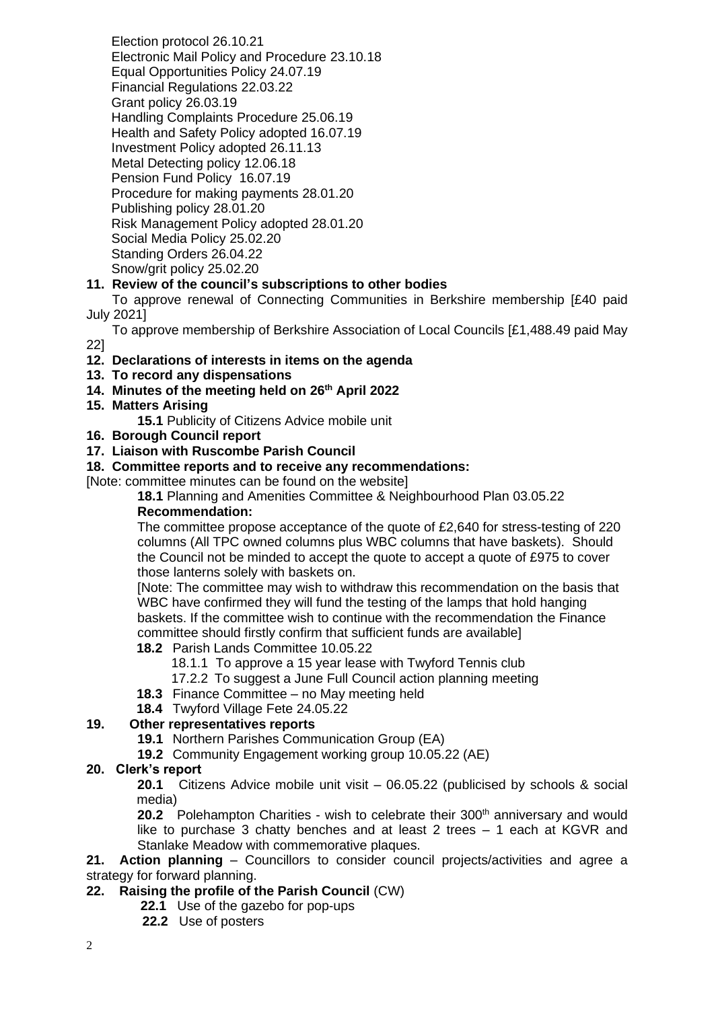Election protocol 26.10.21 Electronic Mail Policy and Procedure 23.10.18 Equal Opportunities Policy 24.07.19 Financial Regulations 22.03.22 Grant policy 26.03.19 Handling Complaints Procedure 25.06.19 Health and Safety Policy adopted 16.07.19 Investment Policy adopted 26.11.13 Metal Detecting policy 12.06.18 Pension Fund Policy 16.07.19 Procedure for making payments 28.01.20 Publishing policy 28.01.20 Risk Management Policy adopted 28.01.20 Social Media Policy 25.02.20 Standing Orders 26.04.22 Snow/grit policy 25.02.20

# **11. Review of the council's subscriptions to other bodies**

 To approve renewal of Connecting Communities in Berkshire membership [£40 paid July 2021]

 To approve membership of Berkshire Association of Local Councils [£1,488.49 paid May 22]

#### **12. Declarations of interests in items on the agenda**

- **13. To record any dispensations**
- **14. Minutes of the meeting held on 26th April 2022**

#### **15. Matters Arising**

**15.1** Publicity of Citizens Advice mobile unit

#### **16. Borough Council report**

**17. Liaison with Ruscombe Parish Council**

## **18. Committee reports and to receive any recommendations:**

[Note: committee minutes can be found on the website]

**18.1** Planning and Amenities Committee & Neighbourhood Plan 03.05.22

# **Recommendation:**

The committee propose acceptance of the quote of £2,640 for stress-testing of 220 columns (All TPC owned columns plus WBC columns that have baskets). Should the Council not be minded to accept the quote to accept a quote of £975 to cover those lanterns solely with baskets on.

[Note: The committee may wish to withdraw this recommendation on the basis that WBC have confirmed they will fund the testing of the lamps that hold hanging baskets. If the committee wish to continue with the recommendation the Finance committee should firstly confirm that sufficient funds are available]

# **18.2** Parish Lands Committee 10.05.22

- 18.1.1 To approve a 15 year lease with Twyford Tennis club
- 17.2.2 To suggest a June Full Council action planning meeting
- **18.3** Finance Committee no May meeting held
- **18.4** Twyford Village Fete 24.05.22

#### **19. Other representatives reports**

- **19.1** Northern Parishes Communication Group (EA)
- **19.2** Community Engagement working group 10.05.22 (AE)

#### **20. Clerk's report**

**20.1** Citizens Advice mobile unit visit – 06.05.22 (publicised by schools & social media)

**20.2** Polehampton Charities - wish to celebrate their 300<sup>th</sup> anniversary and would like to purchase 3 chatty benches and at least 2 trees – 1 each at KGVR and Stanlake Meadow with commemorative plaques.

**21. Action planning** – Councillors to consider council projects/activities and agree a strategy for forward planning.

#### **22. Raising the profile of the Parish Council** (CW)

- **22.1** Use of the gazebo for pop-ups
- **22.2** Use of posters